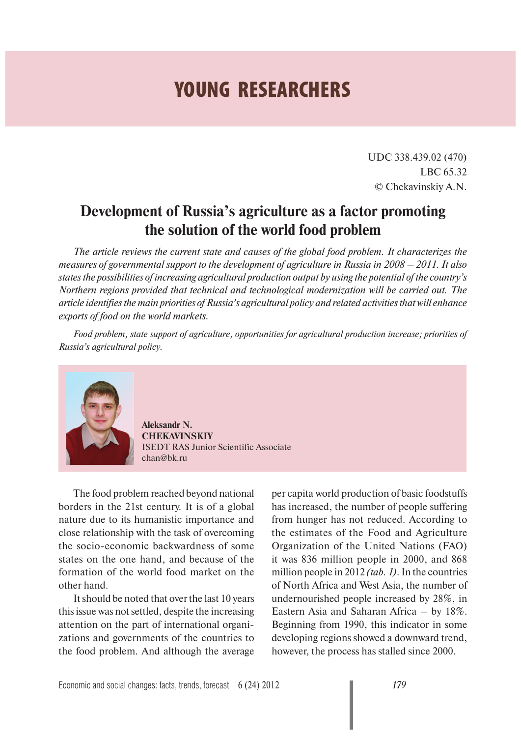## **YOUNG RESEARCHERS**

UDC 338.439.02 (470) LBC 65.32 © Chekavinskiy A.N.

## **Development of Russia's agriculture as a factor promoting the solution of the world food problem**

*The article reviews the current state and causes of the global food problem. It characterizes the measures of governmental support to the development of agriculture in Russia in 2008 – 2011. It also states the possibilities of increasing agricultural production output by using the potential of the country's Northern regions provided that technical and technological modernization will be carried out. The article identifies the main priorities of Russia's agricultural policy and related activities that will enhance exports of food on the world markets.*

*Food problem, state support of agriculture, opportunities for agricultural production increase; priorities of Russia's agricultural policy.*



**Aleksandr N. CHEKAVINSKIY** ISEDT RAS Junior Scientific Associate chan@bk.ru

The food problem reached beyond national borders in the 21st century. It is of a global nature due to its humanistic importance and close relationship with the task of overcoming the socio-economic backwardness of some states on the one hand, and because of the formation of the world food market on the other hand.

It should be noted that over the last 10 years this issue was not settled, despite the increasing attention on the part of international organizations and governments of the countries to the food problem. And although the average

per capita world production of basic foodstuffs has increased, the number of people suffering from hunger has not reduced. According to the estimates of the Food and Agriculture Organization of the United Nations (FAO) it was 836 million people in 2000, and 868 million people in 2012 *(tab. 1)*. In the countries of North Africa and West Asia, the number of undernourished people increased by 28%, in Eastern Asia and Saharan Africa – by 18%. Beginning from 1990, this indicator in some developing regions showed a downward trend, however, the process has stalled since 2000.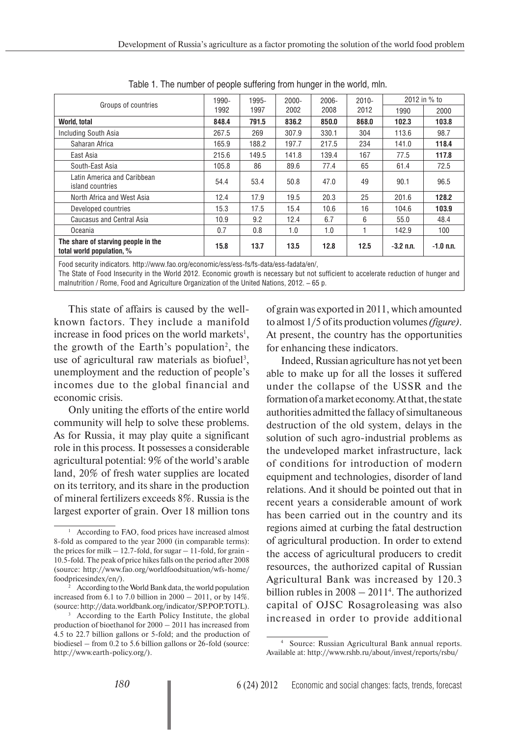| Groups of countries                                              | 1990- | 1995- | $2000 -$ | $2006 -$ | $2010 -$ | 2012 in % to |             |
|------------------------------------------------------------------|-------|-------|----------|----------|----------|--------------|-------------|
|                                                                  | 1992  | 1997  | 2002     | 2008     | 2012     | 1990         | 2000        |
| World, total                                                     | 848.4 | 791.5 | 836.2    | 850.0    | 868.0    | 102.3        | 103.8       |
| Including South Asia                                             | 267.5 | 269   | 307.9    | 330.1    | 304      | 113.6        | 98.7        |
| Saharan Africa                                                   | 165.9 | 188.2 | 197.7    | 217.5    | 234      | 141.0        | 118.4       |
| East Asia                                                        | 215.6 | 149.5 | 141.8    | 139.4    | 167      | 77.5         | 117.8       |
| South-East Asia                                                  | 105.8 | 86    | 89.6     | 77.4     | 65       | 61.4         | 72.5        |
| Latin America and Caribbean<br>island countries                  | 54.4  | 53.4  | 50.8     | 47.0     | 49       | 90.1         | 96.5        |
| North Africa and West Asia                                       | 12.4  | 17.9  | 19.5     | 20.3     | 25       | 201.6        | 128.2       |
| Developed countries                                              | 15.3  | 17.5  | 15.4     | 10.6     | 16       | 104.6        | 103.9       |
| <b>Caucasus and Central Asia</b>                                 | 10.9  | 9.2   | 12.4     | 6.7      | 6        | 55.0         | 48.4        |
| Oceania                                                          | 0.7   | 0.8   | 1.0      | 1.0      |          | 142.9        | 100         |
| The share of starving people in the<br>total world population, % | 15.8  | 13.7  | 13.5     | 12.8     | 12.5     | $-3.2$ n.n.  | $-1.0$ n.n. |

Table 1. The number of people suffering from hunger in the world, mln.

Food security indicators. http://www.fao.org/economic/ess/ess-fs/fs-data/ess-fadata/en/,

The State of Food Insecurity in the World 2012. Economic growth is necessary but not sufficient to accelerate reduction of hunger and malnutrition / Rome, Food and Agriculture Organization of the United Nations, 2012. – 65 p.

This state of affairs is caused by the wellknown factors. They include a manifold increase in food prices on the world markets<sup>1</sup>, the growth of the Earth's population<sup>2</sup>, the use of agricultural raw materials as biofuel<sup>3</sup>, unemployment and the reduction of people's incomes due to the global financial and economic crisis.

Only uniting the efforts of the entire world community will help to solve these problems. As for Russia, it may play quite a significant role in this process. It possesses a considerable agricultural potential: 9% of the world's arable land, 20% of fresh water supplies are located on its territory, and its share in the production of mineral fertilizers exceeds 8%. Russia is the largest exporter of grain. Over 18 million tons

of grain was exported in 2011, which amounted to almost 1/5 of its production volumes *(figure)*. At present, the country has the opportunities for enhancing these indicators.

Indeed, Russian agriculture has not yet been able to make up for all the losses it suffered under the collapse of the USSR and the formation of a market economy. At that, the state authorities admitted the fallacy of simultaneous destruction of the old system, delays in the solution of such agro-industrial problems as the undeveloped market infrastructure, lack of conditions for introduction of modern equipment and technologies, disorder of land relations. And it should be pointed out that in recent years a considerable amount of work has been carried out in the country and its regions aimed at curbing the fatal destruction of agricultural production. In order to extend the access of agricultural producers to credit resources, the authorized capital of Russian Agricultural Bank was increased by 120.3 billion rubles in 2008 – 20114 . The authorized capital of OJSC Rosagroleasing was also increased in order to provide additional

<sup>&</sup>lt;sup>1</sup> According to FAO, food prices have increased almost 8-fold as compared to the year 2000 (in comparable terms): the prices for milk  $-12.7$ -fold, for sugar  $-11$ -fold, for grain -10.5-fold. The peak of price hikes falls on the period after 2008 (source: http://www.fao.org/worldfoodsituation/wfs-home/ foodpricesindex/en/).

<sup>2</sup> According to the World Bank data, the world population increased from 6.1 to 7.0 billion in  $2000 - 2011$ , or by  $14\%$ . (source: http://data.worldbank.org/indicator/SP.POP.TOTL).

<sup>3</sup> According to the Earth Policy Institute, the global production of bioethanol for 2000 – 2011 has increased from 4.5 to 22.7 billion gallons or 5-fold; and the production of biodiesel – from 0.2 to 5.6 billion gallons or 26-fold (source: http://www.earth-policy.org/).

<sup>4</sup> Source: Russian Agricultural Bank annual reports. Available at: http://www.rshb.ru/about/invest/reports/rsbu/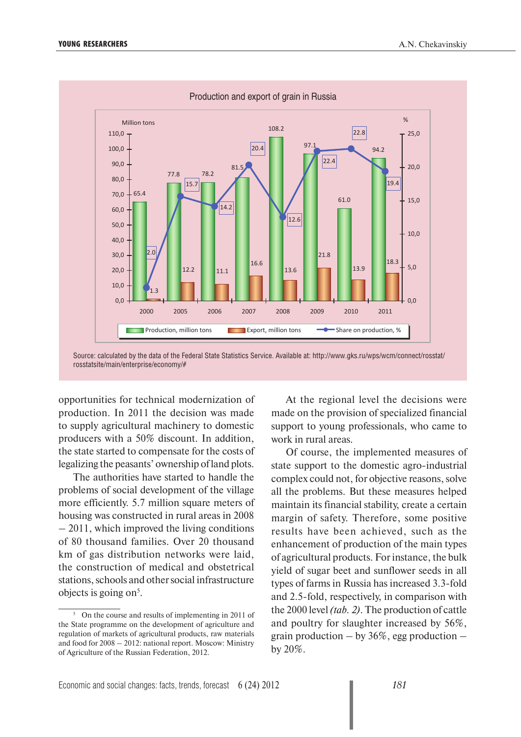

Source: calculated by the data of the Federal State Statistics Service. Available at: http://www.gks.ru/wps/wcm/connect/rosstat/ rosstatsite/main/enterprise/economy/#

opportunities for technical modernization of production. In 2011 the decision was made to supply agricultural machinery to domestic producers with a 50% discount. In addition, the state started to compensate for the costs of legalizing the peasants' ownership of land plots.

The authorities have started to handle the problems of social development of the village more efficiently. 5.7 million square meters of housing was constructed in rural areas in 2008 – 2011, which improved the living conditions of 80 thousand families. Over 20 thousand km of gas distribution networks were laid, the construction of medical and obstetrical stations, schools and other social infrastructure objects is going on<sup>5</sup>.

At the regional level the decisions were made on the provision of specialized financial support to young professionals, who came to work in rural areas.

Of course, the implemented measures of state support to the domestic agro-industrial complex could not, for objective reasons, solve all the problems. But these measures helped maintain its financial stability, create a certain margin of safety. Therefore, some positive results have been achieved, such as the enhancement of production of the main types of agricultural products. For instance, the bulk yield of sugar beet and sunflower seeds in all types of farms in Russia has increased 3.3-fold and 2.5-fold, respectively, in comparison with the 2000 level *(tab. 2)*. The production of cattle and poultry for slaughter increased by 56%, grain production  $-$  by 36%, egg production  $$ by 20%.

<sup>5</sup> On the course and results of implementing in 2011 of the State programme on the development of agriculture and regulation of markets of agricultural products, raw materials and food for 2008 – 2012: national report. Moscow: Ministry of Agriculture of the Russian Federation, 2012.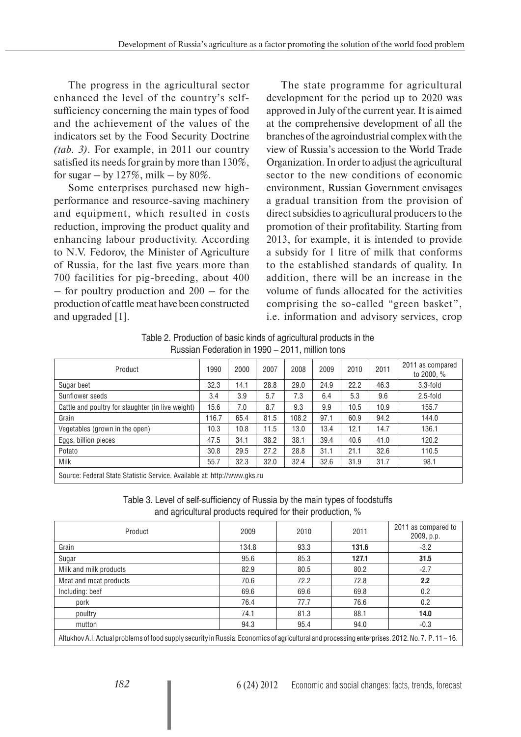The progress in the agricultural sector enhanced the level of the country's selfsufficiency concerning the main types of food and the achievement of the values of the indicators set by the Food Security Doctrine *(tab. 3)*. For example, in 2011 our country satisfied its needs for grain by more than 130%, for sugar – by  $127\%$ , milk – by  $80\%$ .

Some enterprises purchased new highperformance and resource-saving machinery and equipment, which resulted in costs reduction, improving the product quality and enhancing labour productivity. According to N.V. Fedorov, the Minister of Agriculture of Russia, for the last five years more than 700 facilities for pig-breeding, about 400 – for poultry production and 200 – for the production of cattle meat have been constructed and upgraded [1].

The state programme for agricultural development for the period up to 2020 was approved in July of the current year. It is aimed at the comprehensive development of all the branches of the agroindustrial complex with the view of Russia's accession to the World Trade Organization. In order to adjust the agricultural sector to the new conditions of economic environment, Russian Government envisages a gradual transition from the provision of direct subsidies to agricultural producers to the promotion of their profitability. Starting from 2013, for example, it is intended to provide a subsidy for 1 litre of milk that conforms to the established standards of quality. In addition, there will be an increase in the volume of funds allocated for the activities comprising the so-called "green basket", i.e. information and advisory services, crop

Table 2. Production of basic kinds of agricultural products in the Russian Federation in 1990 – 2011, million tons

| Product                                                                  | 1990  | 2000 | 2007 | 2008  | 2009 | 2010 | 2011 | 2011 as compared<br>to 2000, % |
|--------------------------------------------------------------------------|-------|------|------|-------|------|------|------|--------------------------------|
| Sugar beet                                                               | 32.3  | 14.1 | 28.8 | 29.0  | 24.9 | 22.2 | 46.3 | $3.3$ -fold                    |
| Sunflower seeds                                                          | 3.4   | 3.9  | 5.7  | 7.3   | 6.4  | 5.3  | 9.6  | $2.5$ -fold                    |
| Cattle and poultry for slaughter (in live weight)                        | 15.6  | 7.0  | 8.7  | 9.3   | 9.9  | 10.5 | 10.9 | 155.7                          |
| Grain                                                                    | 116.7 | 65.4 | 81.5 | 108.2 | 97.1 | 60.9 | 94.2 | 144.0                          |
| Vegetables (grown in the open)                                           | 10.3  | 10.8 | 11.5 | 13.0  | 13.4 | 12.1 | 14.7 | 136.1                          |
| Eggs, billion pieces                                                     | 47.5  | 34.1 | 38.2 | 38.1  | 39.4 | 40.6 | 41.0 | 120.2                          |
| Potato                                                                   | 30.8  | 29.5 | 27.2 | 28.8  | 31.1 | 21.1 | 32.6 | 110.5                          |
| Milk                                                                     | 55.7  | 32.3 | 32.0 | 32.4  | 32.6 | 31.9 | 31.7 | 98.1                           |
| Source: Federal State Statistic Service. Available at: http://www.gks.ru |       |      |      |       |      |      |      |                                |

Table 3. Level of self-sufficiency of Russia by the main types of foodstuffs and agricultural products required for their production, %

| Product                                                                                                                                       | 2009  | 2010 | 2011  | 2011 as compared to<br>2009, p.p. |  |
|-----------------------------------------------------------------------------------------------------------------------------------------------|-------|------|-------|-----------------------------------|--|
| Grain                                                                                                                                         | 134.8 | 93.3 | 131.6 | $-3.2$                            |  |
| Sugar                                                                                                                                         | 95.6  | 85.3 | 127.1 | 31.5                              |  |
| Milk and milk products                                                                                                                        | 82.9  | 80.5 | 80.2  | $-2.7$                            |  |
| Meat and meat products                                                                                                                        | 70.6  | 72.2 | 72.8  | 2.2                               |  |
| Including: beef                                                                                                                               | 69.6  | 69.6 | 69.8  | 0.2                               |  |
| pork                                                                                                                                          | 76.4  | 77.7 | 76.6  | 0.2                               |  |
| poultry                                                                                                                                       | 74.1  | 81.3 | 88.1  | 14.0                              |  |
| mutton                                                                                                                                        | 94.3  | 95.4 | 94.0  | $-0.3$                            |  |
| Altukhov A.I. Actual problems of food supply security in Russia. Economics of agricultural and processing enterprises. 2012. No. 7. P. 11–16. |       |      |       |                                   |  |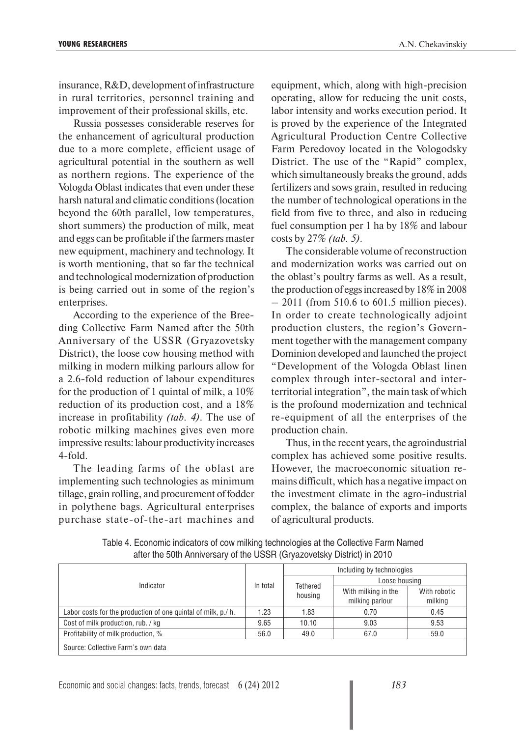insurance, R&D, development of infrastructure in rural territories, personnel training and improvement of their professional skills, etc.

Russia possesses considerable reserves for the enhancement of agricultural production due to a more complete, efficient usage of agricultural potential in the southern as well as northern regions. The experience of the Vologda Oblast indicates that even under these harsh natural and climatic conditions (location beyond the 60th parallel, low temperatures, short summers) the production of milk, meat and eggs can be profitable if the farmers master new equipment, machinery and technology. It is worth mentioning, that so far the technical and technological modernization of production is being carried out in some of the region's enterprises.

According to the experience of the Breeding Collective Farm Named after the 50th Anniversary of the USSR (Gryazovetsky District), the loose cow housing method with milking in modern milking parlours allow for a 2.6-fold reduction of labour expenditures for the production of 1 quintal of milk, a 10% reduction of its production cost, and a 18% increase in profitability *(tab. 4)*. The use of robotic milking machines gives even more impressive results: labour productivity increases 4-fold.

The leading farms of the oblast are implementing such technologies as minimum tillage, grain rolling, and procurement of fodder in polythene bags. Agricultural enterprises purchase state-of-the-art machines and equipment, which, along with high-precision operating, allow for reducing the unit costs, labor intensity and works execution period. It is proved by the experience of the Integrated Agricultural Production Centre Collective Farm Peredovoy located in the Vologodsky District. The use of the "Rapid" complex, which simultaneously breaks the ground, adds fertilizers and sows grain, resulted in reducing the number of technological operations in the field from five to three, and also in reducing fuel consumption per 1 ha by 18% and labour costs by 27% *(tab. 5)*.

The considerable volume of reconstruction and modernization works was carried out on the oblast's poultry farms as well. As a result, the production of eggs increased by 18% in 2008  $-2011$  (from 510.6 to 601.5 million pieces). In order to create technologically adjoint production clusters, the region's Government together with the management company Dominion developed and launched the project "Development of the Vologda Oblast linen complex through inter-sectoral and interterritorial integration", the main task of which is the profound modernization and technical re-equipment of all the enterprises of the production chain.

Thus, in the recent years, the agroindustrial complex has achieved some positive results. However, the macroeconomic situation remains difficult, which has a negative impact on the investment climate in the agro-industrial complex, the balance of exports and imports of agricultural products.

|                                                              |          |         | Including by technologies<br>Loose housing<br>Tethered |                         |  |  |
|--------------------------------------------------------------|----------|---------|--------------------------------------------------------|-------------------------|--|--|
| Indicator                                                    | In total |         |                                                        |                         |  |  |
|                                                              |          | housing | With milking in the<br>milking parlour                 | With robotic<br>milking |  |  |
| Labor costs for the production of one quintal of milk, p./h. | 1.23     | 1.83    | 0.70                                                   | 0.45                    |  |  |
| Cost of milk production, rub. / kg                           | 9.65     | 10.10   | 9.03                                                   | 9.53                    |  |  |
| Profitability of milk production, %                          | 56.0     | 49.0    | 67.0                                                   | 59.0                    |  |  |
| Source: Collective Farm's own data                           |          |         |                                                        |                         |  |  |

Table 4. Economic indicators of cow milking technologies at the Collective Farm Named after the 50th Anniversary of the USSR (Gryazovetsky District) in 2010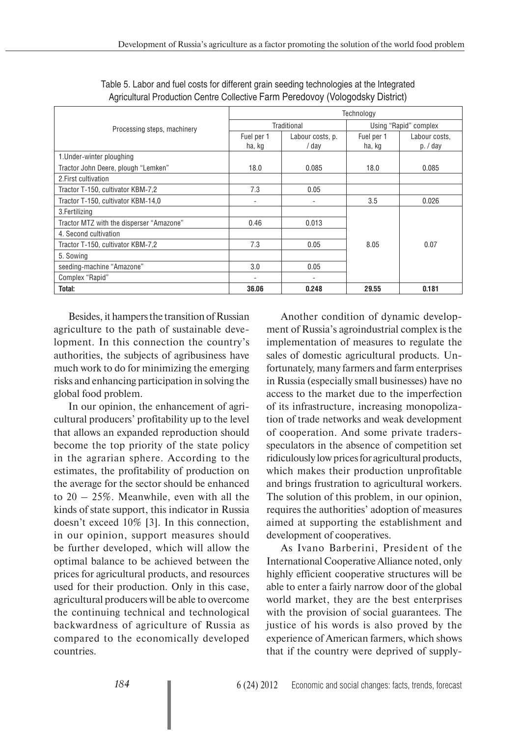| Processing steps, machinery              | Technology           |                           |                       |                           |  |  |  |
|------------------------------------------|----------------------|---------------------------|-----------------------|---------------------------|--|--|--|
|                                          |                      | Traditional               | Using "Rapid" complex |                           |  |  |  |
|                                          | Fuel per 1<br>ha, kg | Labour costs, p.<br>/ dav | Fuel per 1<br>ha, kg  | Labour costs,<br>p. / day |  |  |  |
| 1. Under-winter ploughing                |                      |                           |                       |                           |  |  |  |
| Tractor John Deere, plough "Lemken"      | 18.0                 | 0.085                     | 18.0                  | 0.085                     |  |  |  |
| 2. First cultivation                     |                      |                           |                       |                           |  |  |  |
| Tractor T-150, cultivator KBM-7,2        | 7.3                  | 0.05                      |                       |                           |  |  |  |
| Tractor T-150, cultivator KBM-14,0       |                      |                           | 3.5                   | 0.026                     |  |  |  |
| 3. Fertilizing                           |                      |                           |                       |                           |  |  |  |
| Tractor MTZ with the disperser "Amazone" | 0.46                 | 0.013                     |                       |                           |  |  |  |
| 4. Second cultivation                    |                      |                           |                       |                           |  |  |  |
| Tractor T-150, cultivator KBM-7,2        | 7.3                  | 0.05                      | 8.05                  | 0.07                      |  |  |  |
| 5. Sowing                                |                      |                           |                       |                           |  |  |  |
| seeding-machine "Amazone"                | 3.0                  | 0.05                      |                       |                           |  |  |  |
| Complex "Rapid"                          |                      |                           |                       |                           |  |  |  |
| Total:                                   | 36.06                | 0.248                     | 29.55                 | 0.181                     |  |  |  |

Table 5. Labor and fuel costs for different grain seeding technologies at the Integrated Agricultural Production Centre Collective Farm Peredovoy (Vologodsky District)

Besides, it hampers the transition of Russian agriculture to the path of sustainable development. In this connection the country's authorities, the subjects of agribusiness have much work to do for minimizing the emerging risks and enhancing participation in solving the global food problem.

In our opinion, the enhancement of agricultural producers' profitability up to the level that allows an expanded reproduction should become the top priority of the state policy in the agrarian sphere. According to the estimates, the profitability of production on the average for the sector should be enhanced to  $20 - 25\%$ . Meanwhile, even with all the kinds of state support, this indicator in Russia doesn't exceed 10% [3]. In this connection, in our opinion, support measures should be further developed, which will allow the optimal balance to be achieved between the prices for agricultural products, and resources used for their production. Only in this case, agricultural producers will be able to overcome the continuing technical and technological backwardness of agriculture of Russia as compared to the economically developed countries.

Another condition of dynamic development of Russia's agroindustrial complex is the implementation of measures to regulate the sales of domestic agricultural products. Unfortunately, many farmers and farm enterprises in Russia (especially small businesses) have no access to the market due to the imperfection of its infrastructure, increasing monopolization of trade networks and weak development of cooperation. And some private tradersspeculators in the absence of competition set ridiculously low prices for agricultural products, which makes their production unprofitable and brings frustration to agricultural workers. The solution of this problem, in our opinion, requires the authorities' adoption of measures aimed at supporting the establishment and development of cooperatives.

As Ivano Barberini, President of the International Cooperative Alliance noted, only highly efficient cooperative structures will be able to enter a fairly narrow door of the global world market, they are the best enterprises with the provision of social guarantees. The justice of his words is also proved by the experience of American farmers, which shows that if the country were deprived of supply